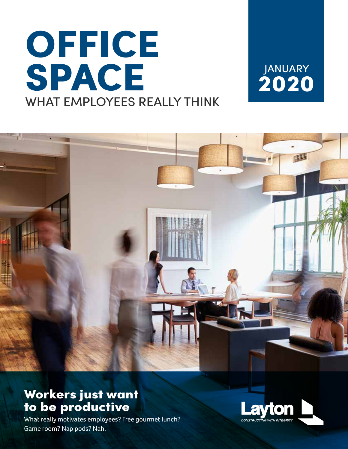# **OFFICE SPACE** WHAT EMPLOYEES REALLY THINK

**2020** JANUARY



## **Workers just want to be productive**

What really motivates employees? Free gourmet lunch? Game room? Nap pods? Nah.

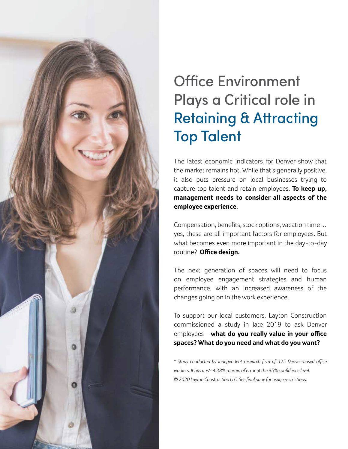

## Office Environment Plays a Critical role in Retaining & Attracting Top Talent

The latest economic indicators for Denver show that the market remains hot. While that's generally positive, it also puts pressure on local businesses trying to capture top talent and retain employees. **To keep up, management needs to consider all aspects of the employee experience.**

Compensation, benefits, stock options, vacation time… yes, these are all important factors for employees. But what becomes even more important in the day-to-day routine? **Office design.**

The next generation of spaces will need to focus on employee engagement strategies and human performance, with an increased awareness of the changes going on in the work experience.

To support our local customers, Layton Construction commissioned a study in late 2019 to ask Denver employees—**what do you really value in your office spaces? What do you need and what do you want?**

*\* Study conducted by independent research firm of 325 Denver-based office workers. It has a +/- 4.38% margin of error at the 95% confidence level. © 2020 Layton Construction LLC. See final page for usage restrictions.*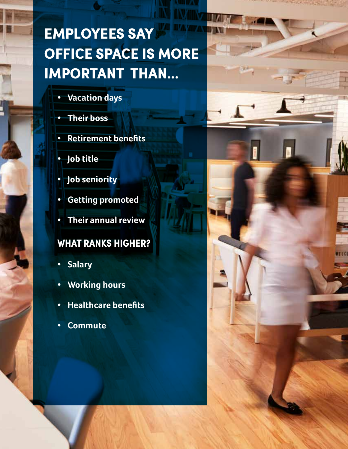## **EMPLOYEES SAY OFFICE SPACE IS MORE IMPORTANT THAN...**

- **• Vacation days**
- **• Their boss**
- **• Retirement benefits**
- **• Job title**
- **• Job seniority**
- **• Getting promoted**
- **• Their annual review**

### **WHAT RANKS HIGHER?**

- **• Salary**
- **• Working hours**
- **• Healthcare benefits**
- **• Commute**

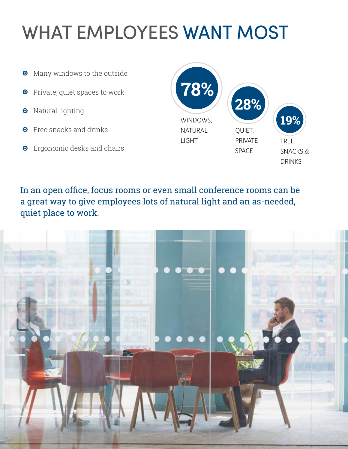## WHAT EMPLOYEES WANT MOST

- Many windows to the outside  $\bullet$
- **O** Private, quiet spaces to work
- **O** Natural lighting
- **O** Free snacks and drinks
- **O** Ergonomic desks and chairs



In an open office, focus rooms or even small conference rooms can be a great way to give employees lots of natural light and an as-needed, quiet place to work.

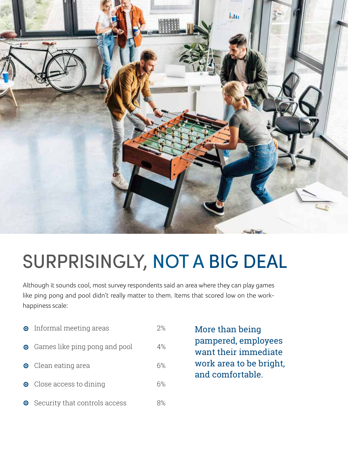

## SURPRISINGLY, NOT A BIG DEAL

Although it sounds cool, most survey respondents said an area where they can play games like ping pong and pool didn't really matter to them. Items that scored low on the workhappiness scale:

|           | • Informal meeting areas        | 2% |
|-----------|---------------------------------|----|
|           | • Games like ping pong and pool | 4% |
|           | <b>O</b> Clean eating area      | 6% |
|           | • Close access to dining        | 6% |
| $\bullet$ | Security that controls access   | 8% |

More than being pampered, employees want their immediate work area to be bright, and comfortable.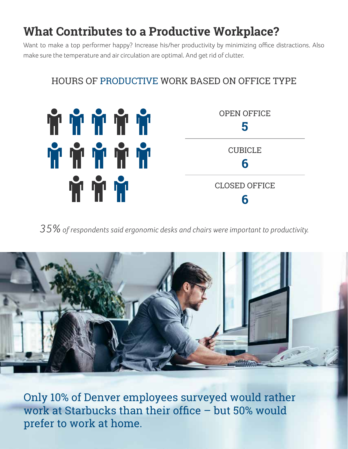## **What Contributes to a Productive Workplace?**

Want to make a top performer happy? Increase his/her productivity by minimizing office distractions. Also make sure the temperature and air circulation are optimal. And get rid of clutter.

#### HOURS OF PRODUCTIVE WORK BASED ON OFFICE TYPE



*35% of respondents said ergonomic desks and chairs were important to productivity.*



Only 10% of Denver employees surveyed would rather work at Starbucks than their office – but 50% would prefer to work at home.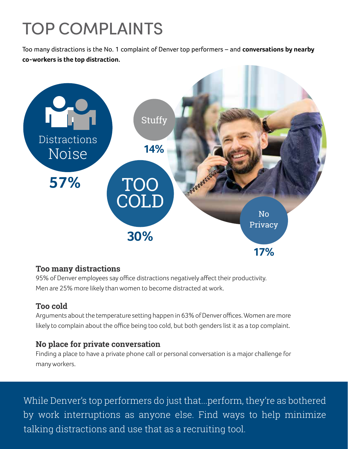## TOP COMPLAINTS

Too many distractions is the No. 1 complaint of Denver top performers – and **conversations by nearby co-workers is the top distraction.**



#### **Too many distractions**

95% of Denver employees say office distractions negatively affect their productivity. Men are 25% more likely than women to become distracted at work.

#### **Too cold**

Arguments about the temperature setting happen in 63% of Denver offices. Women are more likely to complain about the office being too cold, but both genders list it as a top complaint.

#### **No place for private conversation**

Finding a place to have a private phone call or personal conversation is a major challenge for many workers.

While Denver's top performers do just that...perform, they're as bothered by work interruptions as anyone else. Find ways to help minimize talking distractions and use that as a recruiting tool.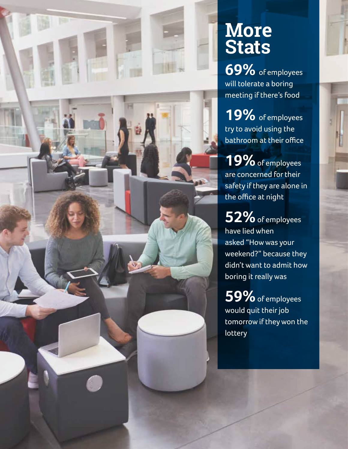

## **More Stats**

**69%** of employees will tolerate a boring meeting if there's food

**19%** of employees try to avoid using the bathroom at their office

**19%** of employees are concerned for their safety if they are alone in the office at night

**52%** of employees have lied when asked "How was your weekend?" because they didn't want to admit how boring it really was

**59%** of employees would quit their job tomorrow if they won the **lottery**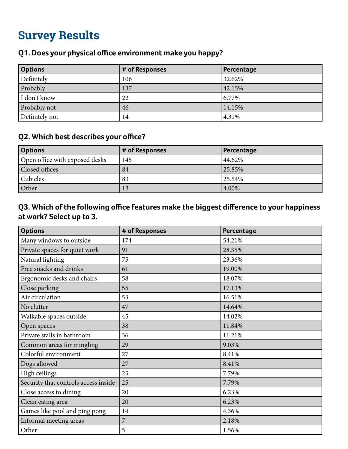| <b>Options</b> | # of Responses | Percentage |
|----------------|----------------|------------|
| Definitely     | 106            | 32.62%     |
| Probably       | 137            | 42.15%     |
| I don't know   | 22             | 6.77%      |
| Probably not   | 46             | 14.15%     |
| Definitely not | 14             | 4.31%      |

#### **Q1. Does your physical office environment make you happy?**

#### **Q2. Which best describes your office?**

| <b>Options</b>                 | # of Responses | Percentage |
|--------------------------------|----------------|------------|
| Open office with exposed desks | 145            | 44.62%     |
| Closed offices                 | 84             | 25.85%     |
| <b>Cubicles</b>                | 83             | 25.54%     |
| Other                          | 13             | 4.00%      |

#### **Q3. Which of the following office features make the biggest difference to your happiness at work? Select up to 3.**

| <b>Options</b>                       | # of Responses | Percentage |
|--------------------------------------|----------------|------------|
| Many windows to outside              | 174            | 54.21%     |
| Private spaces for quiet work        | 91             | 28.35%     |
| Natural lighting                     | 75             | 23.36%     |
| Free snacks and drinks               | 61             | 19.00%     |
| Ergonomic desks and chairs           | 58             | 18.07%     |
| Close parking                        | 55             | 17.13%     |
| Air circulation                      | 53             | 16.51%     |
| No clutter                           | 47             | 14.64%     |
| Walkable spaces outside              | 45             | 14.02%     |
| Open spaces                          | 38             | 11.84%     |
| Private stalls in bathroom           | 36             | 11.21%     |
| Common areas for mingling            | 29             | 9.03%      |
| Colorful environment                 | 27             | 8.41%      |
| Dogs allowed                         | 27             | 8.41%      |
| High ceilings                        | 25             | 7.79%      |
| Security that controls access inside | 25             | 7.79%      |
| Close access to dining               | 20             | 6.23%      |
| Clean eating area                    | 20             | 6.23%      |
| Games like pool and ping pong        | 14             | 4.36%      |
| Informal meeting areas               | 7              | 2.18%      |
| Other                                | 5              | 1.56%      |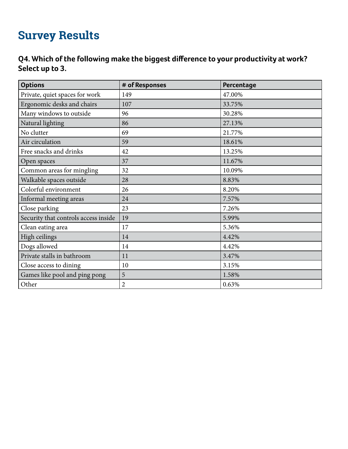#### **Q4. Which of the following make the biggest difference to your productivity at work? Select up to 3.**

| <b>Options</b>                       | # of Responses | Percentage |
|--------------------------------------|----------------|------------|
| Private, quiet spaces for work       | 149            | 47.00%     |
| Ergonomic desks and chairs           | 107            | 33.75%     |
| Many windows to outside              | 96             | 30.28%     |
| Natural lighting                     | 86             | 27.13%     |
| No clutter                           | 69             | 21.77%     |
| Air circulation                      | 59             | 18.61%     |
| Free snacks and drinks               | 42             | 13.25%     |
| Open spaces                          | 37             | 11.67%     |
| Common areas for mingling            | 32             | 10.09%     |
| Walkable spaces outside              | 28             | 8.83%      |
| Colorful environment                 | 26             | 8.20%      |
| Informal meeting areas               | 24             | 7.57%      |
| Close parking                        | 23             | 7.26%      |
| Security that controls access inside | 19             | 5.99%      |
| Clean eating area                    | 17             | 5.36%      |
| High ceilings                        | 14             | 4.42%      |
| Dogs allowed                         | 14             | 4.42%      |
| Private stalls in bathroom           | 11             | 3.47%      |
| Close access to dining               | 10             | 3.15%      |
| Games like pool and ping pong        | 5              | 1.58%      |
| Other                                | $\overline{2}$ | 0.63%      |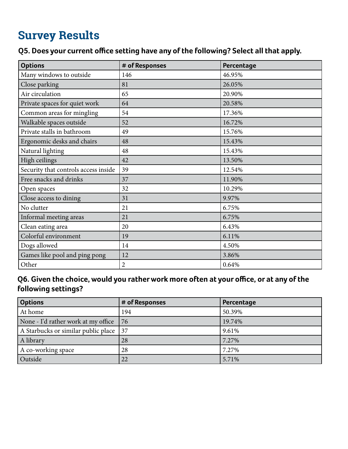#### **Q5. Does your current office setting have any of the following? Select all that apply.**

| <b>Options</b>                       | # of Responses | Percentage |
|--------------------------------------|----------------|------------|
| Many windows to outside              | 146            | 46.95%     |
| Close parking                        | 81             | 26.05%     |
| Air circulation                      | 65             | 20.90%     |
| Private spaces for quiet work        | 64             | 20.58%     |
| Common areas for mingling            | 54             | 17.36%     |
| Walkable spaces outside              | 52             | 16.72%     |
| Private stalls in bathroom           | 49             | 15.76%     |
| Ergonomic desks and chairs           | 48             | 15.43%     |
| Natural lighting                     | 48             | 15.43%     |
| High ceilings                        | 42             | 13.50%     |
| Security that controls access inside | 39             | 12.54%     |
| Free snacks and drinks               | 37             | 11.90%     |
| Open spaces                          | 32             | 10.29%     |
| Close access to dining               | 31             | 9.97%      |
| No clutter                           | 21             | 6.75%      |
| Informal meeting areas               | 21             | 6.75%      |
| Clean eating area                    | 20             | 6.43%      |
| Colorful environment                 | 19             | 6.11%      |
| Dogs allowed                         | 14             | 4.50%      |
| Games like pool and ping pong        | 12             | 3.86%      |
| Other                                | $\overline{c}$ | 0.64%      |

#### **Q6. Given the choice, would you rather work more often at your office, or at any of the following settings?**

| <b>Options</b>                      | # of Responses | Percentage |
|-------------------------------------|----------------|------------|
| At home                             | 194            | 50.39%     |
| None - I'd rather work at my office | 76             | 19.74%     |
| A Starbucks or similar public place | 37             | 9.61%      |
| A library                           | 28             | 7.27%      |
| A co-working space                  | 28             | 7.27%      |
| Outside                             | 22             | 5.71%      |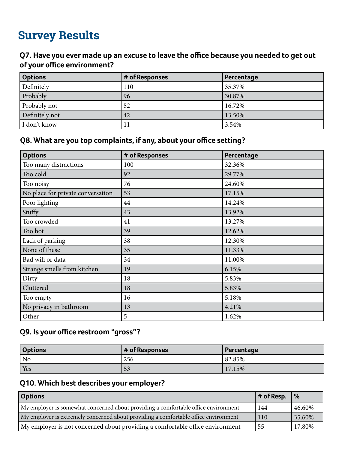#### **Q7. Have you ever made up an excuse to leave the office because you needed to get out of your office environment?**

| <b>Options</b> | # of Responses | Percentage |
|----------------|----------------|------------|
| Definitely     | 110            | 35.37%     |
| Probably       | 96             | 30.87%     |
| Probably not   | 52             | 16.72%     |
| Definitely not | 42             | 13.50%     |
| I don't know   | 11             | 3.54%      |

#### **Q8. What are you top complaints, if any, about your office setting?**

| <b>Options</b>                    | # of Responses | Percentage |
|-----------------------------------|----------------|------------|
| Too many distractions             | 100            | 32.36%     |
| Too cold                          | 92             | 29.77%     |
| Too noisy                         | 76             | 24.60%     |
| No place for private conversation | 53             | 17.15%     |
| Poor lighting                     | 44             | 14.24%     |
| Stuffy                            | 43             | 13.92%     |
| Too crowded                       | 41             | 13.27%     |
| Too hot                           | 39             | 12.62%     |
| Lack of parking                   | 38             | 12.30%     |
| None of these                     | 35             | 11.33%     |
| Bad wifi or data                  | 34             | 11.00%     |
| Strange smells from kitchen       | 19             | 6.15%      |
| Dirty                             | 18             | 5.83%      |
| Cluttered                         | 18             | 5.83%      |
| Too empty                         | 16             | 5.18%      |
| No privacy in bathroom            | 13             | 4.21%      |
| Other                             | 5              | 1.62%      |

#### **Q9. Is your office restroom "gross"?**

| <b>Options</b> | $#$ of Responses | Percentage |
|----------------|------------------|------------|
| No             | 256              | 82.85%     |
| <b>Yes</b>     | 53               | 17.15%     |

#### **Q10. Which best describes your employer?**

| <b>Options</b>                                                                      | $#$ of Resp. | $\frac{9}{6}$ |
|-------------------------------------------------------------------------------------|--------------|---------------|
| My employer is somewhat concerned about providing a comfortable office environment  | 144          | 46.60%        |
| My employer is extremely concerned about providing a comfortable office environment | 110          | 35.60%        |
| My employer is not concerned about providing a comfortable office environment       | 55           | 17.80%        |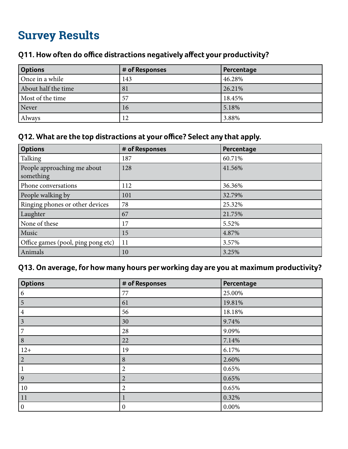| <b>Options</b>      | # of Responses | Percentage |
|---------------------|----------------|------------|
| Once in a while     | 143            | 46.28%     |
| About half the time | 81             | 26.21%     |
| Most of the time    | 57             | 18.45%     |
| Never               | 16             | 5.18%      |
| Always              | 12             | 3.88%      |

#### **Q11. How often do office distractions negatively affect your productivity?**

#### **Q12. What are the top distractions at your office? Select any that apply.**

| <b>Options</b>                           | # of Responses | Percentage |
|------------------------------------------|----------------|------------|
| Talking                                  | 187            | 60.71%     |
| People approaching me about<br>something | 128            | 41.56%     |
| Phone conversations                      | 112            | 36.36%     |
| People walking by                        | 101            | 32.79%     |
| Ringing phones or other devices          | 78             | 25.32%     |
| Laughter                                 | 67             | 21.75%     |
| None of these                            | 17             | 5.52%      |
| Music                                    | 15             | 4.87%      |
| Office games (pool, ping pong etc)       | 11             | 3.57%      |
| Animals                                  | 10             | 3.25%      |

#### **Q13. On average, for how many hours per working day are you at maximum productivity?**

| <b>Options</b>   | # of Responses        | Percentage |
|------------------|-----------------------|------------|
| 6                | 77                    | 25.00%     |
| 5                | 61                    | 19.81%     |
| $\overline{4}$   | 56                    | 18.18%     |
| $\mathfrak{Z}$   | 30                    | 9.74%      |
| 7                | 28                    | 9.09%      |
| $\,8\,$          | 22                    | 7.14%      |
| $12+$            | 19                    | 6.17%      |
| $\overline{2}$   | 8                     | 2.60%      |
|                  | 2                     | 0.65%      |
| 9                | $\overline{2}$        | 0.65%      |
| 10               | $\overline{2}$        | 0.65%      |
| 11               | $\mathbf{\mathbf{I}}$ | 0.32%      |
| $\boldsymbol{0}$ | $\boldsymbol{0}$      | $0.00\%$   |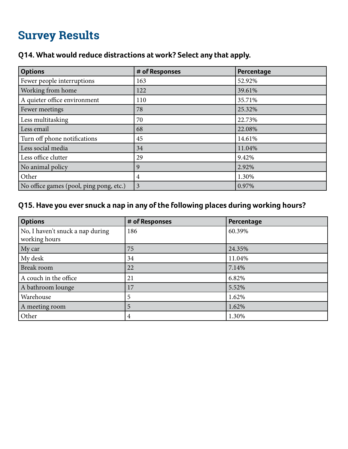#### **Q14. What would reduce distractions at work? Select any that apply.**

| <b>Options</b>                          | # of Responses | Percentage |
|-----------------------------------------|----------------|------------|
| Fewer people interruptions              | 163            | 52.92%     |
| Working from home                       | 122            | 39.61%     |
| A quieter office environment            | 110            | 35.71%     |
| Fewer meetings                          | 78             | 25.32%     |
| Less multitasking                       | 70             | 22.73%     |
| Less email                              | 68             | 22.08%     |
| Turn off phone notifications            | 45             | 14.61%     |
| Less social media                       | 34             | 11.04%     |
| Less office clutter                     | 29             | 9.42%      |
| No animal policy                        | 9              | 2.92%      |
| Other                                   | 4              | 1.30%      |
| No office games (pool, ping pong, etc.) | 3              | 0.97%      |

#### **Q15. Have you ever snuck a nap in any of the following places during working hours?**

| <b>Options</b>                                    | # of Responses | Percentage |
|---------------------------------------------------|----------------|------------|
| No, I haven't snuck a nap during<br>working hours | 186            | 60.39%     |
| My car                                            | 75             | 24.35%     |
| My desk                                           | 34             | 11.04%     |
| Break room                                        | 22             | 7.14%      |
| A couch in the office                             | 21             | 6.82%      |
| A bathroom lounge                                 | 17             | 5.52%      |
| Warehouse                                         | 5              | 1.62%      |
| A meeting room                                    | 5              | 1.62%      |
| Other                                             | 4              | 1.30%      |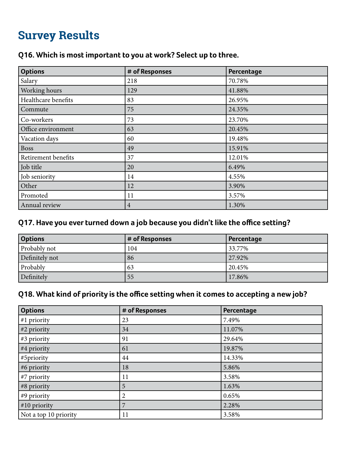| <b>Options</b>      | # of Responses | Percentage |
|---------------------|----------------|------------|
| Salary              | 218            | 70.78%     |
| Working hours       | 129            | 41.88%     |
| Healthcare benefits | 83             | 26.95%     |
| Commute             | 75             | 24.35%     |
| Co-workers          | 73             | 23.70%     |
| Office environment  | 63             | 20.45%     |
| Vacation days       | 60             | 19.48%     |
| <b>Boss</b>         | 49             | 15.91%     |
| Retirement benefits | 37             | 12.01%     |
| Job title           | 20             | 6.49%      |
| Job seniority       | 14             | 4.55%      |
| Other               | 12             | 3.90%      |
| Promoted            | 11             | 3.57%      |
| Annual review       | $\overline{4}$ | 1.30%      |

#### **Q16. Which is most important to you at work? Select up to three.**

#### **Q17. Have you ever turned down a job because you didn't like the office setting?**

| <b>Options</b> | # of Responses | Percentage |
|----------------|----------------|------------|
| Probably not   | 104            | 33.77%     |
| Definitely not | 86             | 27.92%     |
| Probably       | 63             | 20.45%     |
| Definitely     | 55             | 17.86%     |

#### **Q18. What kind of priority is the office setting when it comes to accepting a new job?**

| <b>Options</b>        | # of Responses | Percentage |
|-----------------------|----------------|------------|
| #1 priority           | 23             | 7.49%      |
| #2 priority           | 34             | 11.07%     |
| #3 priority           | 91             | 29.64%     |
| #4 priority           | 61             | 19.87%     |
| #5priority            | 44             | 14.33%     |
| #6 priority           | 18             | 5.86%      |
| #7 priority           | 11             | 3.58%      |
| #8 priority           | 5              | 1.63%      |
| #9 priority           | 2              | 0.65%      |
| #10 priority          | 7              | 2.28%      |
| Not a top 10 priority | 11             | 3.58%      |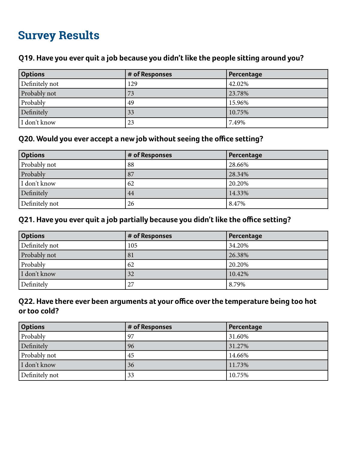#### **Q19. Have you ever quit a job because you didn't like the people sitting around you?**

| <b>Options</b> | # of Responses | Percentage |
|----------------|----------------|------------|
| Definitely not | 129            | 42.02%     |
| Probably not   | 73             | 23.78%     |
| Probably       | 49             | 15.96%     |
| Definitely     | 33             | 10.75%     |
| I don't know   | 23             | 7.49%      |

#### **Q20. Would you ever accept a new job without seeing the office setting?**

| <b>Options</b> | # of Responses | Percentage |
|----------------|----------------|------------|
| Probably not   | $^{\circ}88$   | 28.66%     |
| Probably       | 87             | 28.34%     |
| I don't know   | 62             | 20.20%     |
| Definitely     | 44             | 14.33%     |
| Definitely not | 26             | 8.47%      |

#### **Q21. Have you ever quit a job partially because you didn't like the office setting?**

| <b>Options</b> | # of Responses | Percentage |
|----------------|----------------|------------|
| Definitely not | 105            | 34.20%     |
| Probably not   | 81             | 26.38%     |
| Probably       | 62             | 20.20%     |
| I don't know   | 32             | 10.42%     |
| Definitely     | 27             | 8.79%      |

#### **Q22. Have there ever been arguments at your office over the temperature being too hot or too cold?**

| <b>Options</b> | # of Responses | Percentage |
|----------------|----------------|------------|
| Probably       | 97             | 31.60%     |
| Definitely     | 96             | 31.27%     |
| Probably not   | 45             | 14.66%     |
| I don't know   | 36             | 11.73%     |
| Definitely not | 33             | 10.75%     |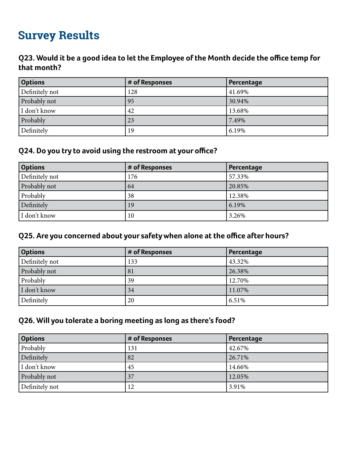#### **Q23. Would it be a good idea to let the Employee of the Month decide the office temp for that month?**

| <b>Options</b> | # of Responses | Percentage |
|----------------|----------------|------------|
| Definitely not | 128            | 41.69%     |
| Probably not   | 95             | 30.94%     |
| I don't know   | 42             | 13.68%     |
| Probably       | 23             | 7.49%      |
| Definitely     | 19             | 6.19%      |

#### **Q24. Do you try to avoid using the restroom at your office?**

| <b>Options</b> | # of Responses | Percentage |
|----------------|----------------|------------|
| Definitely not | 176            | 57.33%     |
| Probably not   | 64             | 20.85%     |
| Probably       | 38             | 12.38%     |
| Definitely     | 19             | 6.19%      |
| I don't know   | 10             | 3.26%      |

#### **Q25. Are you concerned about your safety when alone at the office after hours?**

| <b>Options</b> | # of Responses | Percentage |
|----------------|----------------|------------|
| Definitely not | 133            | 43.32%     |
| Probably not   | 81             | 26.38%     |
| Probably       | 39             | 12.70%     |
| I don't know   | 34             | 11.07%     |
| Definitely     | 20             | 6.51%      |

#### **Q26. Will you tolerate a boring meeting as long as there's food?**

| <b>Options</b> | # of Responses | Percentage |
|----------------|----------------|------------|
| Probably       | 131            | 42.67%     |
| Definitely     | 82             | 26.71%     |
| I don't know   | 45             | 14.66%     |
| Probably not   | 37             | 12.05%     |
| Definitely not | 12             | 3.91%      |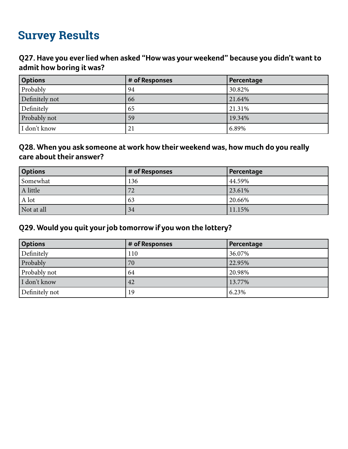#### **Q27. Have you ever lied when asked "How was your weekend" because you didn't want to admit how boring it was?**

| <b>Options</b> | # of Responses | Percentage |
|----------------|----------------|------------|
| Probably       | 94             | 30.82%     |
| Definitely not | 66             | 21.64%     |
| Definitely     | 65             | 21.31%     |
| Probably not   | 59             | 19.34%     |
| I don't know   | 21             | 6.89%      |

#### **Q28. When you ask someone at work how their weekend was, how much do you really care about their answer?**

| <b>Options</b> | # of Responses | Percentage |
|----------------|----------------|------------|
| Somewhat       | 136            | 44.59%     |
| A little       | 72             | 23.61%     |
| A lot          | 63             | 20.66%     |
| Not at all     | 34             | 11.15%     |

#### **Q29. Would you quit your job tomorrow if you won the lottery?**

| <b>Options</b> | # of Responses | Percentage |
|----------------|----------------|------------|
| Definitely     | 110            | 36.07%     |
| Probably       | 70             | 22.95%     |
| Probably not   | 64             | 20.98%     |
| I don't know   | 42             | 13.77%     |
| Definitely not | 19             | 6.23%      |